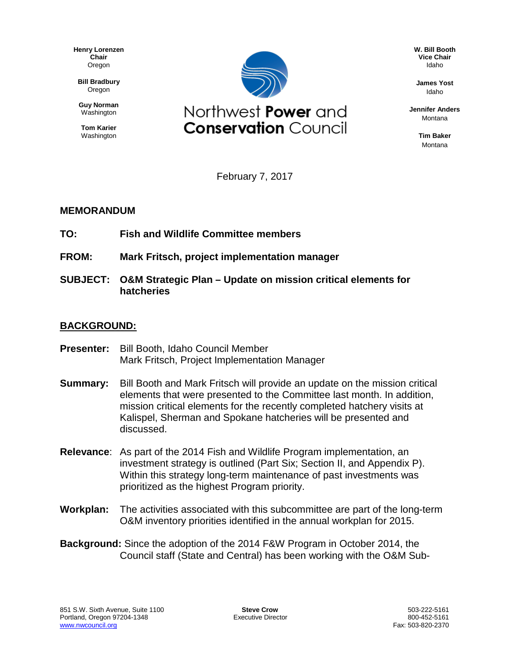**Henry Lorenzen Chair** Oregon

**Bill Bradbury** Oregon

**Guy Norman** Washington

**Tom Karier** Washington



**W. Bill Booth Vice Chair** Idaho

**James Yost** Idaho

**Jennifer Anders** Montana

> **Tim Baker** Montana

February 7, 2017

## **MEMORANDUM**

- **TO: Fish and Wildlife Committee members**
- **FROM: Mark Fritsch, project implementation manager**
- **SUBJECT: O&M Strategic Plan – Update on mission critical elements for hatcheries**

## **BACKGROUND:**

- **Presenter:** Bill Booth, Idaho Council Member Mark Fritsch, Project Implementation Manager
- **Summary:** Bill Booth and Mark Fritsch will provide an update on the mission critical elements that were presented to the Committee last month. In addition, mission critical elements for the recently completed hatchery visits at Kalispel, Sherman and Spokane hatcheries will be presented and discussed.
- **Relevance**: As part of the 2014 Fish and Wildlife Program implementation, an investment strategy is outlined (Part Six; Section II, and Appendix P). Within this strategy long-term maintenance of past investments was prioritized as the highest Program priority.
- **Workplan:** The activities associated with this subcommittee are part of the long-term O&M inventory priorities identified in the annual workplan for 2015.
- **Background:** Since the adoption of the 2014 F&W Program in October 2014, the Council staff (State and Central) has been working with the O&M Sub-